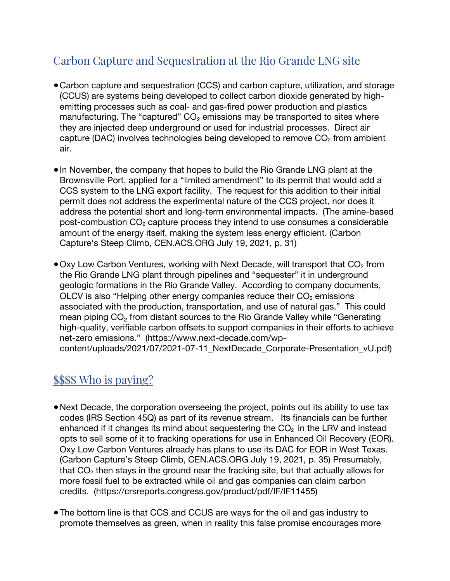# Carbon Capture and Sequestration at the Rio Grande LNG site

- **●**Carbon capture and sequestration (CCS) and carbon capture, utilization, and storage (CCUS) are systems being developed to collect carbon dioxide generated by highemitting processes such as coal- and gas-fired power production and plastics manufacturing. The "captured"  $CO<sub>2</sub>$  emissions may be transported to sites where they are injected deep underground or used for industrial processes. Direct air capture (DAC) involves technologies being developed to remove  $CO<sub>2</sub>$  from ambient air.
- **●**In November, the company that hopes to build the Rio Grande LNG plant at the Brownsville Port, applied for a "limited amendment" to its permit that would add a CCS system to the LNG export facility. The request for this addition to their initial permit does not address the experimental nature of the CCS project, nor does it address the potential short and long-term environmental impacts. (The amine-based post-combustion  $CO<sub>2</sub>$  capture process they intend to use consumes a considerable amount of the energy itself, making the system less energy efficient. (Carbon Capture's Steep Climb, CEN.ACS.ORG July 19, 2021, p. 31)
- Oxy Low Carbon Ventures, working with Next Decade, will transport that CO<sub>2</sub> from the Rio Grande LNG plant through pipelines and "sequester" it in underground geologic formations in the Rio Grande Valley. According to company documents, OLCV is also "Helping other energy companies reduce their  $CO<sub>2</sub>$  emissions associated with the production, transportation, and use of natural gas." This could mean piping CO₂ from distant sources to the Rio Grande Valley while "Generating high-quality, verifiable carbon offsets to support companies in their efforts to achieve net-zero emissions." (https://www.next-decade.com/wpcontent/uploads/2021/07/2021-07-11\_NextDecade\_Corporate-Presentation\_vU.pdf)

## \$\$\$\$ Who is paying?

- **●**Next Decade, the corporation overseeing the project, points out its ability to use tax codes (IRS Section 45Q) as part of its revenue stream. Its financials can be further enhanced if it changes its mind about sequestering the  $CO<sub>2</sub>$  in the LRV and instead opts to sell some of it to fracking operations for use in Enhanced Oil Recovery (EOR). Oxy Low Carbon Ventures already has plans to use its DAC for EOR in West Texas. (Carbon Capture's Steep Climb, CEN.ACS.ORG July 19, 2021, p. 35) Presumably, that  $CO<sub>2</sub>$  then stays in the ground near the fracking site, but that actually allows for more fossil fuel to be extracted while oil and gas companies can claim carbon credits. (https://crsreports.congress.gov/product/pdf/IF/IF11455)
- **●**The bottom line is that CCS and CCUS are ways for the oil and gas industry to promote themselves as green, when in reality this false promise encourages more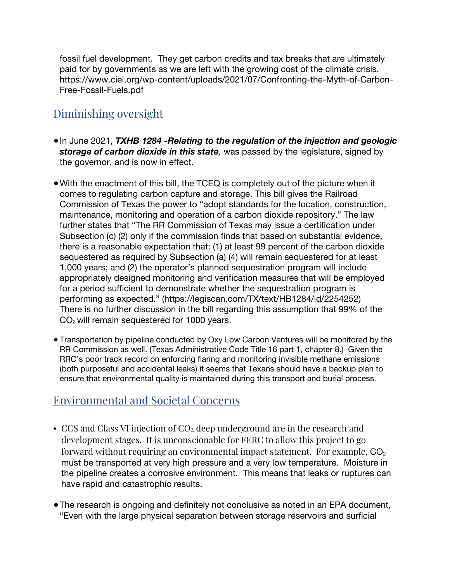fossil fuel development. They get carbon credits and tax breaks that are ultimately paid for by governments as we are left with the growing cost of the climate crisis. https://www.ciel.org/wp-content/uploads/2021/07/Confronting-the-Myth-of-Carbon-Free-Fossil-Fuels.pdf

#### Diminishing oversight

- **●**In June 2021, *TXHB 1284 -Relating to the regulation of the injection and geologic storage of carbon dioxide in this state,* was passed by the legislature, signed by the governor, and is now in effect.
- **●**With the enactment of this bill, the TCEQ is completely out of the picture when it comes to regulating carbon capture and storage. This bill gives the Railroad Commission of Texas the power to "adopt standards for the location, construction, maintenance, monitoring and operation of a carbon dioxide repository." The law further states that "The RR Commission of Texas may issue a certification under Subsection (c) (2) only if the commission finds that based on substantial evidence, there is a reasonable expectation that: (1) at least 99 percent of the carbon dioxide sequestered as required by Subsection (a) (4) will remain sequestered for at least 1,000 years; and (2) the operator's planned sequestration program will include appropriately designed monitoring and verification measures that will be employed for a period sufficient to demonstrate whether the sequestration program is performing as expected." (https://legiscan.com/TX/text/HB1284/id/2254252) There is no further discussion in the bill regarding this assumption that 99% of the  $CO<sub>2</sub>$  will remain sequestered for 1000 years.
- **●** Transportation by pipeline conducted by Oxy Low Carbon Ventures will be monitored by the RR Commission as well. (Texas Administrative Code Title 16 part 1, chapter 8.) Given the RRC's poor track record on enforcing flaring and monitoring invisible methane emissions (both purposeful and accidental leaks) it seems that Texans should have a backup plan to ensure that environmental quality is maintained during this transport and burial process.

## Environmental and Societal Concerns

- CCS and Class VI injection of CO<sub>2</sub> deep underground are in the research and development stages. It is unconscionable for FERC to allow this project to go forward without requiring an environmental impact statement. For example,  $CO<sub>2</sub>$ must be transported at very high pressure and a very low temperature. Moisture in the pipeline creates a corrosive environment. This means that leaks or ruptures can have rapid and catastrophic results.
- **●**The research is ongoing and definitely not conclusive as noted in an EPA document, "Even with the large physical separation between storage reservoirs and surficial